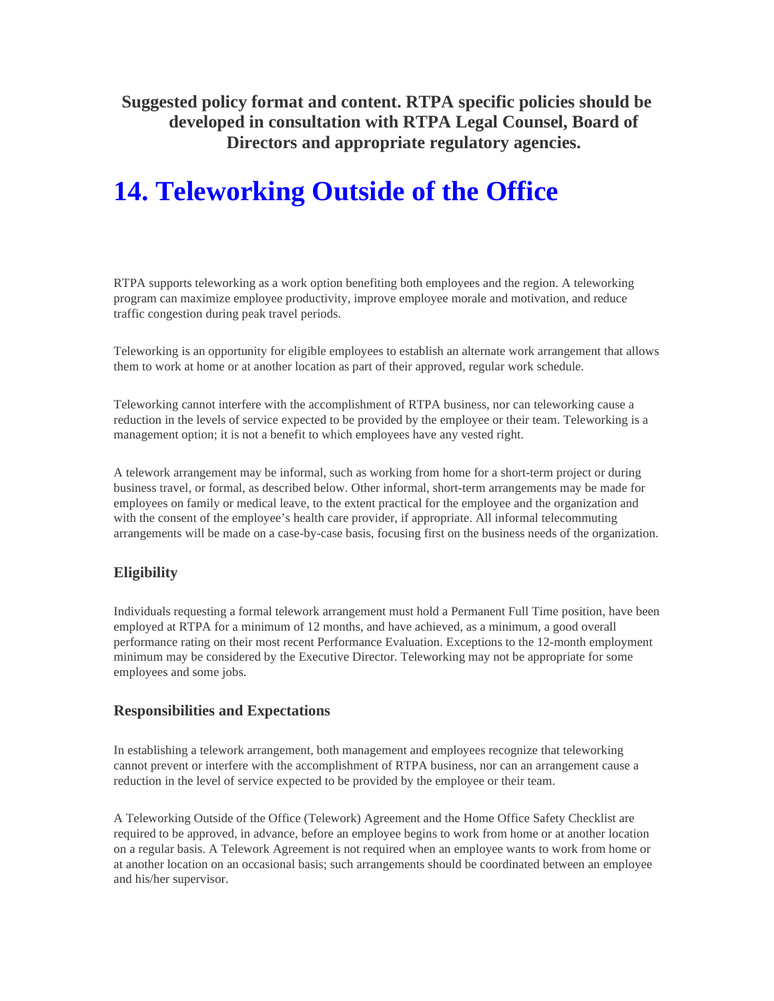**Suggested policy format and content. RTPA specific policies should be developed in consultation with RTPA Legal Counsel, Board of Directors and appropriate regulatory agencies.** 

# **14. Teleworking Outside of the Office**

RTPA supports teleworking as a work option benefiting both employees and the region. A teleworking program can maximize employee productivity, improve employee morale and motivation, and reduce traffic congestion during peak travel periods.

Teleworking is an opportunity for eligible employees to establish an alternate work arrangement that allows them to work at home or at another location as part of their approved, regular work schedule.

Teleworking cannot interfere with the accomplishment of RTPA business, nor can teleworking cause a reduction in the levels of service expected to be provided by the employee or their team. Teleworking is a management option; it is not a benefit to which employees have any vested right.

A telework arrangement may be informal, such as working from home for a short-term project or during business travel, or formal, as described below. Other informal, short-term arrangements may be made for employees on family or medical leave, to the extent practical for the employee and the organization and with the consent of the employee's health care provider, if appropriate. All informal telecommuting arrangements will be made on a case-by-case basis, focusing first on the business needs of the organization.

## **Eligibility**

Individuals requesting a formal telework arrangement must hold a Permanent Full Time position, have been employed at RTPA for a minimum of 12 months, and have achieved, as a minimum, a good overall performance rating on their most recent Performance Evaluation. Exceptions to the 12-month employment minimum may be considered by the Executive Director. Teleworking may not be appropriate for some employees and some jobs.

### **Responsibilities and Expectations**

In establishing a telework arrangement, both management and employees recognize that teleworking cannot prevent or interfere with the accomplishment of RTPA business, nor can an arrangement cause a reduction in the level of service expected to be provided by the employee or their team.

A Teleworking Outside of the Office (Telework) Agreement and the Home Office Safety Checklist are required to be approved, in advance, before an employee begins to work from home or at another location on a regular basis. A Telework Agreement is not required when an employee wants to work from home or at another location on an occasional basis; such arrangements should be coordinated between an employee and his/her supervisor.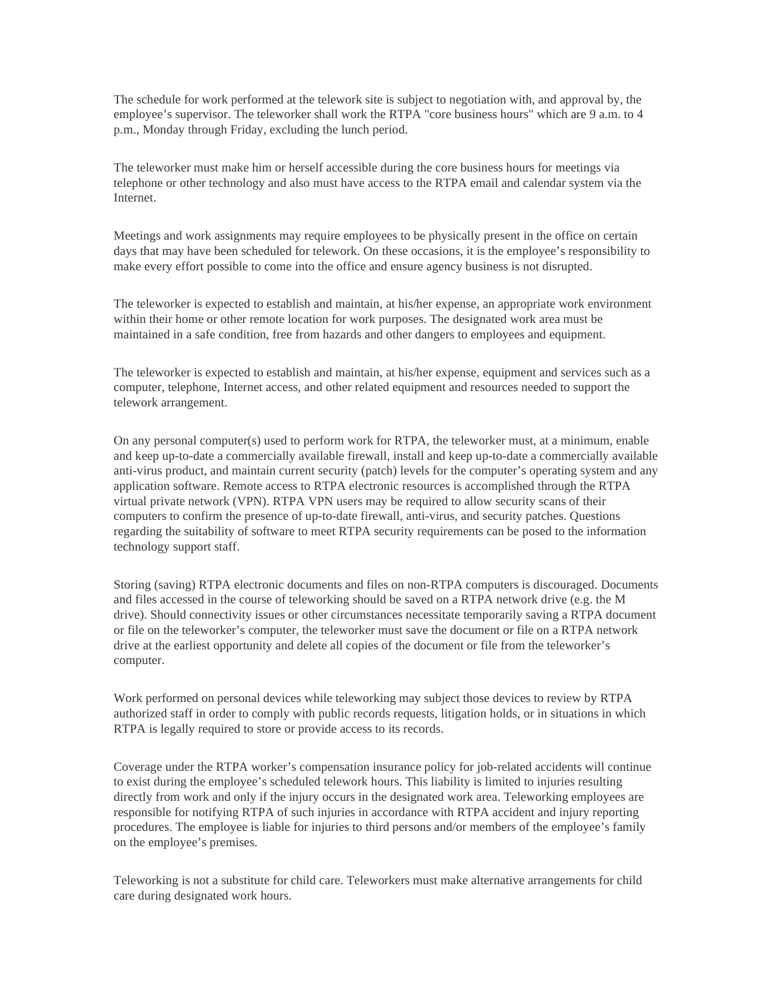The schedule for work performed at the telework site is subject to negotiation with, and approval by, the employee's supervisor. The teleworker shall work the RTPA "core business hours" which are 9 a.m. to 4 p.m., Monday through Friday, excluding the lunch period.

The teleworker must make him or herself accessible during the core business hours for meetings via telephone or other technology and also must have access to the RTPA email and calendar system via the Internet.

Meetings and work assignments may require employees to be physically present in the office on certain days that may have been scheduled for telework. On these occasions, it is the employee's responsibility to make every effort possible to come into the office and ensure agency business is not disrupted.

The teleworker is expected to establish and maintain, at his/her expense, an appropriate work environment within their home or other remote location for work purposes. The designated work area must be maintained in a safe condition, free from hazards and other dangers to employees and equipment.

The teleworker is expected to establish and maintain, at his/her expense, equipment and services such as a computer, telephone, Internet access, and other related equipment and resources needed to support the telework arrangement.

On any personal computer(s) used to perform work for RTPA, the teleworker must, at a minimum, enable and keep up-to-date a commercially available firewall, install and keep up-to-date a commercially available anti-virus product, and maintain current security (patch) levels for the computer's operating system and any application software. Remote access to RTPA electronic resources is accomplished through the RTPA virtual private network (VPN). RTPA VPN users may be required to allow security scans of their computers to confirm the presence of up-to-date firewall, anti-virus, and security patches. Questions regarding the suitability of software to meet RTPA security requirements can be posed to the information technology support staff.

Storing (saving) RTPA electronic documents and files on non-RTPA computers is discouraged. Documents and files accessed in the course of teleworking should be saved on a RTPA network drive (e.g. the M drive). Should connectivity issues or other circumstances necessitate temporarily saving a RTPA document or file on the teleworker's computer, the teleworker must save the document or file on a RTPA network drive at the earliest opportunity and delete all copies of the document or file from the teleworker's computer.

Work performed on personal devices while teleworking may subject those devices to review by RTPA authorized staff in order to comply with public records requests, litigation holds, or in situations in which RTPA is legally required to store or provide access to its records.

Coverage under the RTPA worker's compensation insurance policy for job-related accidents will continue to exist during the employee's scheduled telework hours. This liability is limited to injuries resulting directly from work and only if the injury occurs in the designated work area. Teleworking employees are responsible for notifying RTPA of such injuries in accordance with RTPA accident and injury reporting procedures. The employee is liable for injuries to third persons and/or members of the employee's family on the employee's premises.

Teleworking is not a substitute for child care. Teleworkers must make alternative arrangements for child care during designated work hours.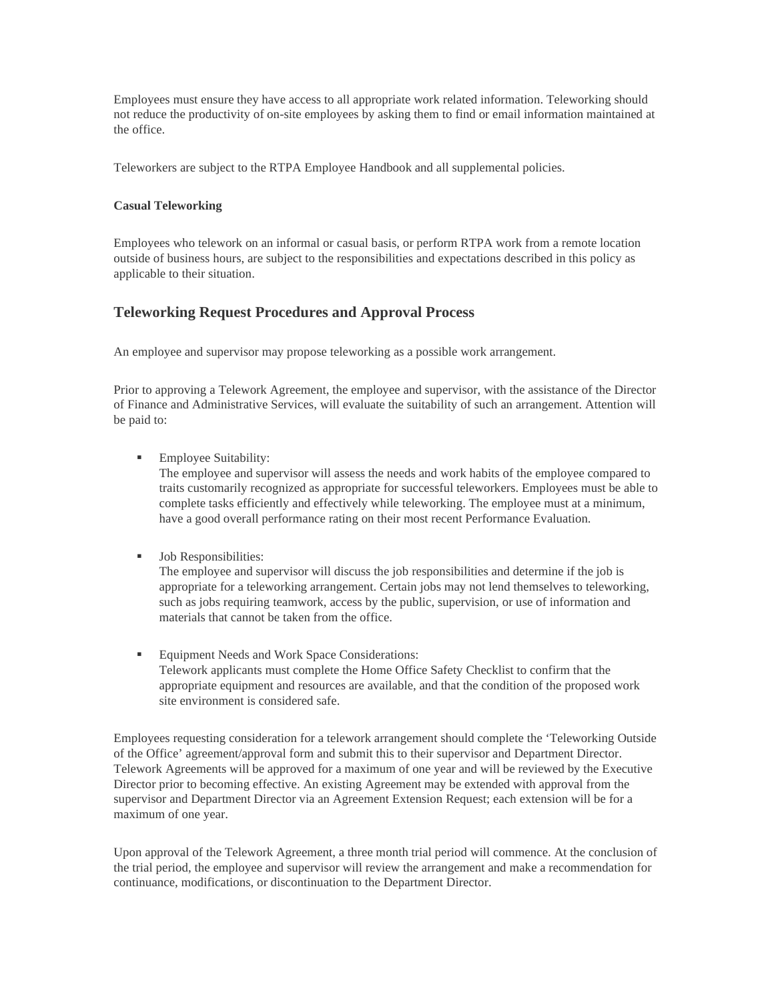Employees must ensure they have access to all appropriate work related information. Teleworking should not reduce the productivity of on-site employees by asking them to find or email information maintained at the office.

Teleworkers are subject to the RTPA Employee Handbook and all supplemental policies.

#### **Casual Teleworking**

Employees who telework on an informal or casual basis, or perform RTPA work from a remote location outside of business hours, are subject to the responsibilities and expectations described in this policy as applicable to their situation.

## **Teleworking Request Procedures and Approval Process**

An employee and supervisor may propose teleworking as a possible work arrangement.

Prior to approving a Telework Agreement, the employee and supervisor, with the assistance of the Director of Finance and Administrative Services, will evaluate the suitability of such an arrangement. Attention will be paid to:

**Employee Suitability:** 

The employee and supervisor will assess the needs and work habits of the employee compared to traits customarily recognized as appropriate for successful teleworkers. Employees must be able to complete tasks efficiently and effectively while teleworking. The employee must at a minimum, have a good overall performance rating on their most recent Performance Evaluation.

**Job Responsibilities:** 

The employee and supervisor will discuss the job responsibilities and determine if the job is appropriate for a teleworking arrangement. Certain jobs may not lend themselves to teleworking, such as jobs requiring teamwork, access by the public, supervision, or use of information and materials that cannot be taken from the office.

**Equipment Needs and Work Space Considerations:** Telework applicants must complete the Home Office Safety Checklist to confirm that the appropriate equipment and resources are available, and that the condition of the proposed work site environment is considered safe.

Employees requesting consideration for a telework arrangement should complete the 'Teleworking Outside of the Office' agreement/approval form and submit this to their supervisor and Department Director. Telework Agreements will be approved for a maximum of one year and will be reviewed by the Executive Director prior to becoming effective. An existing Agreement may be extended with approval from the supervisor and Department Director via an Agreement Extension Request; each extension will be for a maximum of one year.

Upon approval of the Telework Agreement, a three month trial period will commence. At the conclusion of the trial period, the employee and supervisor will review the arrangement and make a recommendation for continuance, modifications, or discontinuation to the Department Director.